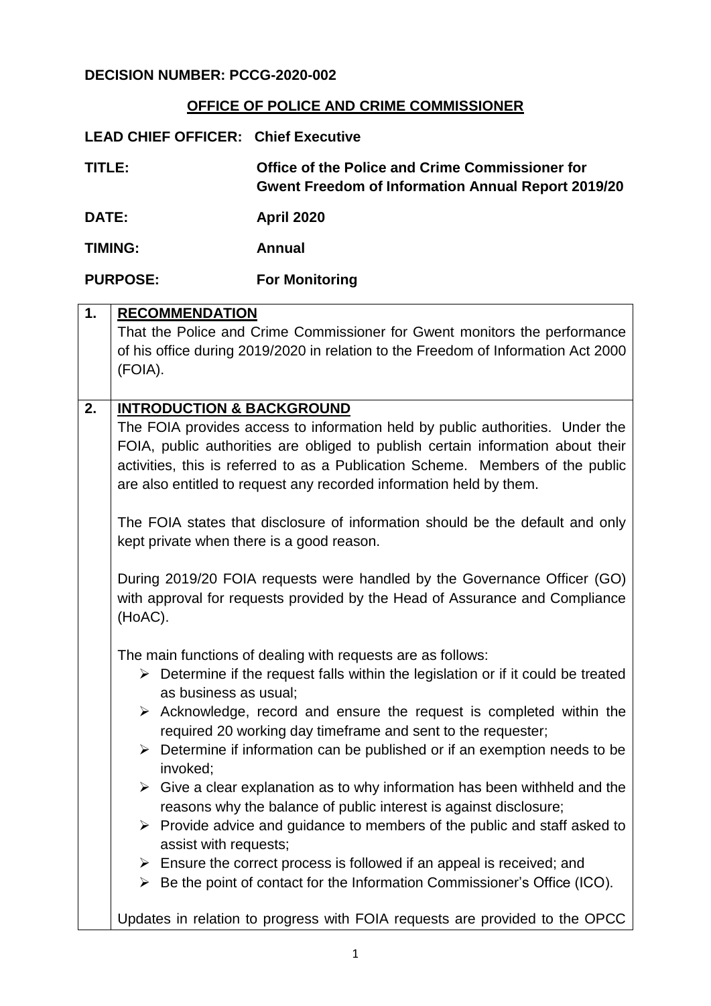## **OFFICE OF POLICE AND CRIME COMMISSIONER**

| <b>LEAD CHIEF OFFICER: Chief Executive</b> |                                                                                                              |
|--------------------------------------------|--------------------------------------------------------------------------------------------------------------|
| TITLE:                                     | Office of the Police and Crime Commissioner for<br><b>Gwent Freedom of Information Annual Report 2019/20</b> |
| <b>DATE:</b>                               | <b>April 2020</b>                                                                                            |
| <b>TIMING:</b>                             | Annual                                                                                                       |
| <b>PURPOSE:</b>                            | <b>For Monitoring</b>                                                                                        |

| 1. | <b>RECOMMENDATION</b>                                                                            |
|----|--------------------------------------------------------------------------------------------------|
|    | That the Police and Crime Commissioner for Gwent monitors the performance                        |
|    | of his office during 2019/2020 in relation to the Freedom of Information Act 2000                |
|    | (FOIA).                                                                                          |
|    |                                                                                                  |
| 2. | <b>INTRODUCTION &amp; BACKGROUND</b>                                                             |
|    | The FOIA provides access to information held by public authorities. Under the                    |
|    | FOIA, public authorities are obliged to publish certain information about their                  |
|    | activities, this is referred to as a Publication Scheme. Members of the public                   |
|    | are also entitled to request any recorded information held by them.                              |
|    |                                                                                                  |
|    | The FOIA states that disclosure of information should be the default and only                    |
|    | kept private when there is a good reason.                                                        |
|    |                                                                                                  |
|    | During 2019/20 FOIA requests were handled by the Governance Officer (GO)                         |
|    | with approval for requests provided by the Head of Assurance and Compliance                      |
|    | (HoAC).                                                                                          |
|    |                                                                                                  |
|    | The main functions of dealing with requests are as follows:                                      |
|    | $\triangleright$ Determine if the request falls within the legislation or if it could be treated |
|    | as business as usual;                                                                            |
|    | $\triangleright$ Acknowledge, record and ensure the request is completed within the              |
|    | required 20 working day timeframe and sent to the requester;                                     |
|    | $\triangleright$ Determine if information can be published or if an exemption needs to be        |
|    | invoked;                                                                                         |
|    | $\triangleright$ Give a clear explanation as to why information has been withheld and the        |
|    | reasons why the balance of public interest is against disclosure;                                |
|    | $\triangleright$ Provide advice and guidance to members of the public and staff asked to         |
|    | assist with requests;                                                                            |
|    | $\triangleright$ Ensure the correct process is followed if an appeal is received; and            |
|    | Be the point of contact for the Information Commissioner's Office (ICO).<br>≻                    |
|    |                                                                                                  |
|    | Updates in relation to progress with FOIA requests are provided to the OPCC                      |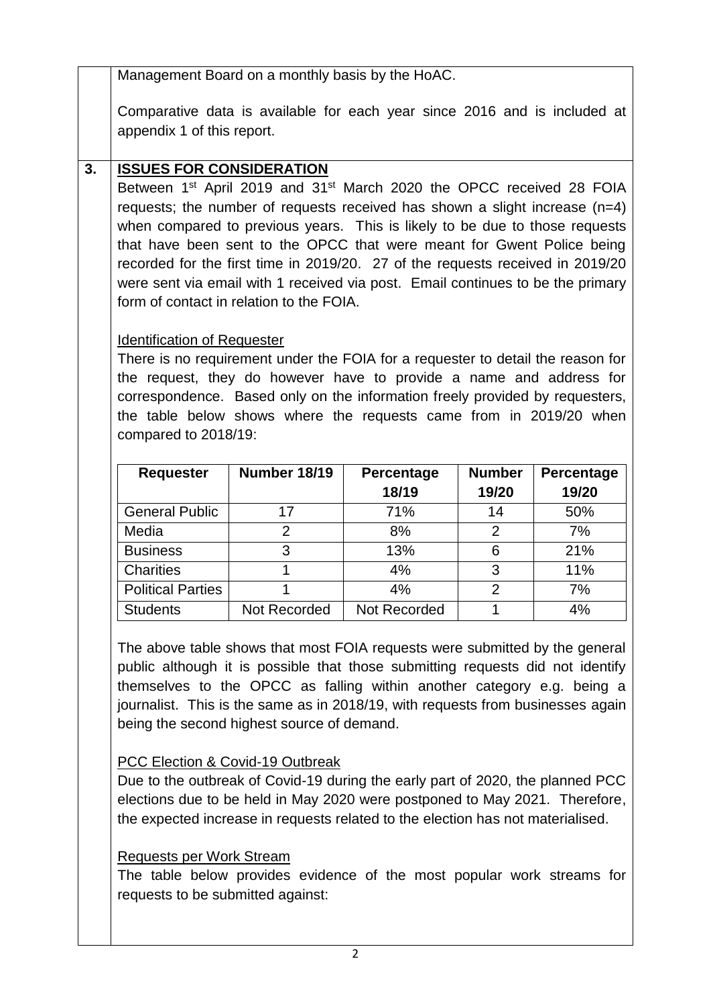Management Board on a monthly basis by the HoAC.

Comparative data is available for each year since 2016 and is included at appendix 1 of this report.

# **3. ISSUES FOR CONSIDERATION**

Between 1<sup>st</sup> April 2019 and 31<sup>st</sup> March 2020 the OPCC received 28 FOIA requests; the number of requests received has shown a slight increase (n=4) when compared to previous years. This is likely to be due to those requests that have been sent to the OPCC that were meant for Gwent Police being recorded for the first time in 2019/20. 27 of the requests received in 2019/20 were sent via email with 1 received via post. Email continues to be the primary form of contact in relation to the FOIA.

# Identification of Requester

There is no requirement under the FOIA for a requester to detail the reason for the request, they do however have to provide a name and address for correspondence. Based only on the information freely provided by requesters, the table below shows where the requests came from in 2019/20 when compared to 2018/19:

| <b>Requester</b>         | Number 18/19 | <b>Percentage</b><br>18/19 | <b>Number</b><br>19/20 | Percentage<br>19/20 |
|--------------------------|--------------|----------------------------|------------------------|---------------------|
| <b>General Public</b>    | 17           | 71%                        | 14                     | 50%                 |
| Media                    | 2            | 8%                         | 2                      | 7%                  |
| <b>Business</b>          | 3            | 13%                        | 6                      | 21%                 |
| <b>Charities</b>         |              | 4%                         | 3                      | 11%                 |
| <b>Political Parties</b> |              | 4%                         | 2                      | 7%                  |
| <b>Students</b>          | Not Recorded | Not Recorded               |                        | 4%                  |

The above table shows that most FOIA requests were submitted by the general public although it is possible that those submitting requests did not identify themselves to the OPCC as falling within another category e.g. being a journalist. This is the same as in 2018/19, with requests from businesses again being the second highest source of demand.

## PCC Election & Covid-19 Outbreak

Due to the outbreak of Covid-19 during the early part of 2020, the planned PCC elections due to be held in May 2020 were postponed to May 2021. Therefore, the expected increase in requests related to the election has not materialised.

## Requests per Work Stream

The table below provides evidence of the most popular work streams for requests to be submitted against: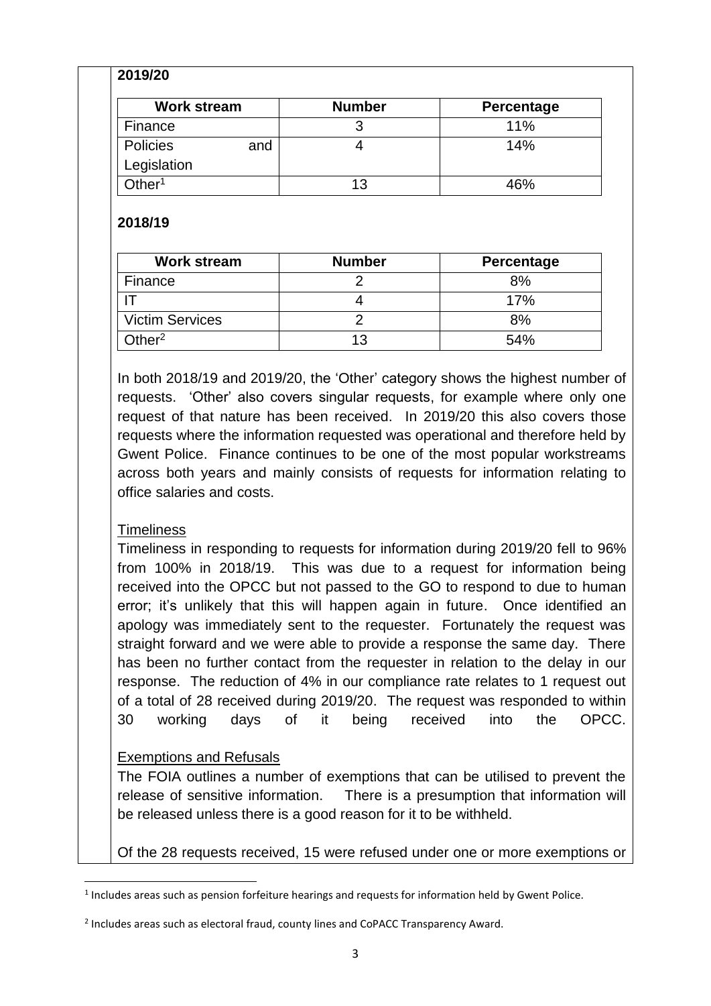### **2019/20**

| <b>Work stream</b> |     | <b>Number</b> | Percentage |
|--------------------|-----|---------------|------------|
| Finance            |     |               | 11%        |
| Policies           | and |               | 14%        |
| Legislation        |     |               |            |
| Other $^{\rm 1}$   |     | 13            | 16%        |

#### **2018/19**

| <b>Work stream</b>     | <b>Number</b> | <b>Percentage</b> |
|------------------------|---------------|-------------------|
| Finance                |               | 8%                |
|                        |               | 17%               |
| <b>Victim Services</b> |               | 8%                |
| Other $2$              | 13            | 54%               |

In both 2018/19 and 2019/20, the 'Other' category shows the highest number of requests. 'Other' also covers singular requests, for example where only one request of that nature has been received. In 2019/20 this also covers those requests where the information requested was operational and therefore held by Gwent Police. Finance continues to be one of the most popular workstreams across both years and mainly consists of requests for information relating to office salaries and costs.

### **Timeliness**

 $\overline{\phantom{a}}$ 

Timeliness in responding to requests for information during 2019/20 fell to 96% from 100% in 2018/19. This was due to a request for information being received into the OPCC but not passed to the GO to respond to due to human error; it's unlikely that this will happen again in future. Once identified an apology was immediately sent to the requester. Fortunately the request was straight forward and we were able to provide a response the same day. There has been no further contact from the requester in relation to the delay in our response. The reduction of 4% in our compliance rate relates to 1 request out of a total of 28 received during 2019/20. The request was responded to within 30 working days of it being received into the OPCC.

### Exemptions and Refusals

The FOIA outlines a number of exemptions that can be utilised to prevent the release of sensitive information. There is a presumption that information will be released unless there is a good reason for it to be withheld.

Of the 28 requests received, 15 were refused under one or more exemptions or

 $<sup>1</sup>$  Includes areas such as pension forfeiture hearings and requests for information held by Gwent Police.</sup>

<sup>&</sup>lt;sup>2</sup> Includes areas such as electoral fraud, county lines and CoPACC Transparency Award.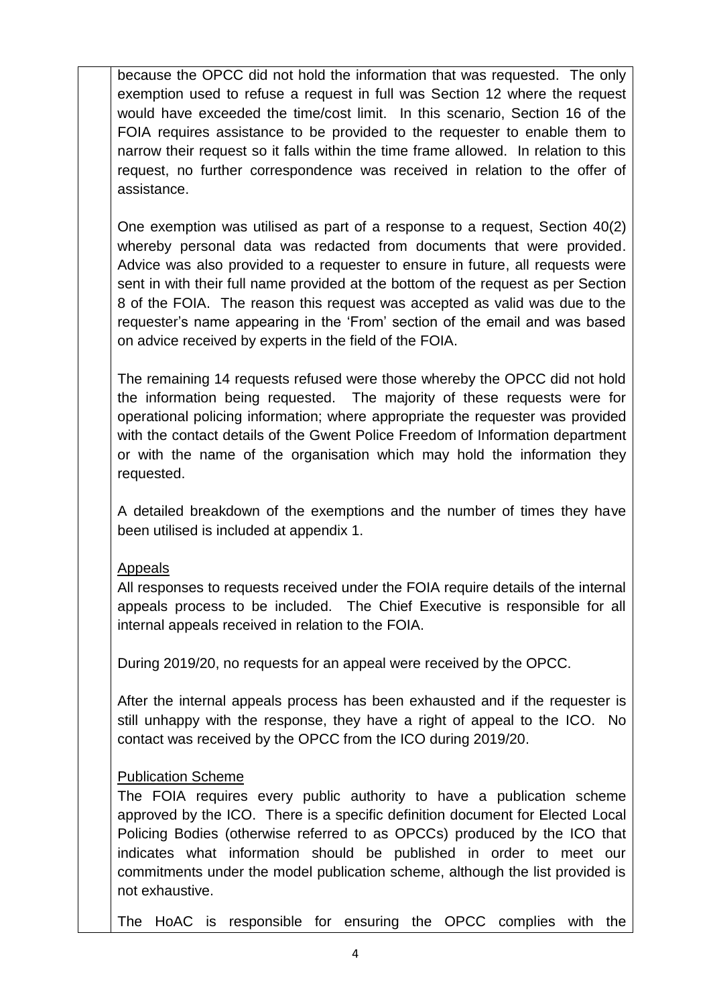because the OPCC did not hold the information that was requested. The only exemption used to refuse a request in full was Section 12 where the request would have exceeded the time/cost limit. In this scenario, Section 16 of the FOIA requires assistance to be provided to the requester to enable them to narrow their request so it falls within the time frame allowed. In relation to this request, no further correspondence was received in relation to the offer of assistance.

One exemption was utilised as part of a response to a request, Section 40(2) whereby personal data was redacted from documents that were provided. Advice was also provided to a requester to ensure in future, all requests were sent in with their full name provided at the bottom of the request as per Section 8 of the FOIA. The reason this request was accepted as valid was due to the requester's name appearing in the 'From' section of the email and was based on advice received by experts in the field of the FOIA.

The remaining 14 requests refused were those whereby the OPCC did not hold the information being requested. The majority of these requests were for operational policing information; where appropriate the requester was provided with the contact details of the Gwent Police Freedom of Information department or with the name of the organisation which may hold the information they requested.

A detailed breakdown of the exemptions and the number of times they have been utilised is included at appendix 1.

### Appeals

All responses to requests received under the FOIA require details of the internal appeals process to be included. The Chief Executive is responsible for all internal appeals received in relation to the FOIA.

During 2019/20, no requests for an appeal were received by the OPCC.

After the internal appeals process has been exhausted and if the requester is still unhappy with the response, they have a right of appeal to the ICO. No contact was received by the OPCC from the ICO during 2019/20.

## Publication Scheme

The FOIA requires every public authority to have a publication scheme approved by the ICO. There is a specific definition document for Elected Local Policing Bodies (otherwise referred to as OPCCs) produced by the ICO that indicates what information should be published in order to meet our commitments under the model publication scheme, although the list provided is not exhaustive.

The HoAC is responsible for ensuring the OPCC complies with the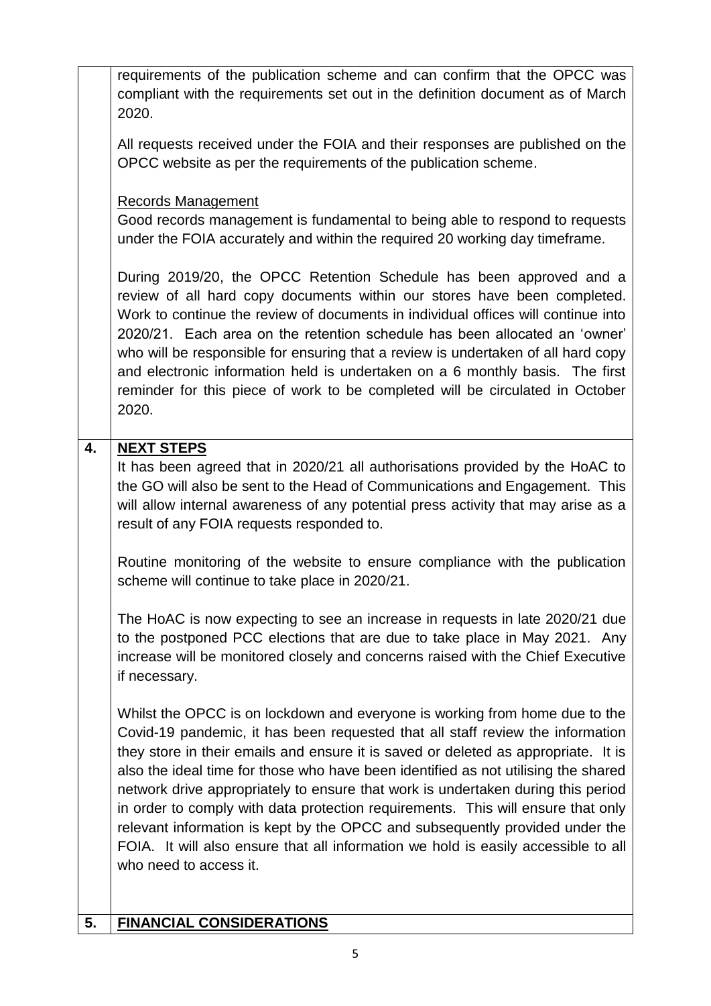|    | requirements of the publication scheme and can confirm that the OPCC was<br>compliant with the requirements set out in the definition document as of March<br>2020.                                                                                                                                                                                                                                                                                                                                                                                                                                                                                                                                               |
|----|-------------------------------------------------------------------------------------------------------------------------------------------------------------------------------------------------------------------------------------------------------------------------------------------------------------------------------------------------------------------------------------------------------------------------------------------------------------------------------------------------------------------------------------------------------------------------------------------------------------------------------------------------------------------------------------------------------------------|
|    | All requests received under the FOIA and their responses are published on the<br>OPCC website as per the requirements of the publication scheme.                                                                                                                                                                                                                                                                                                                                                                                                                                                                                                                                                                  |
|    | <b>Records Management</b>                                                                                                                                                                                                                                                                                                                                                                                                                                                                                                                                                                                                                                                                                         |
|    | Good records management is fundamental to being able to respond to requests<br>under the FOIA accurately and within the required 20 working day timeframe.                                                                                                                                                                                                                                                                                                                                                                                                                                                                                                                                                        |
|    | During 2019/20, the OPCC Retention Schedule has been approved and a<br>review of all hard copy documents within our stores have been completed.<br>Work to continue the review of documents in individual offices will continue into<br>2020/21. Each area on the retention schedule has been allocated an 'owner'<br>who will be responsible for ensuring that a review is undertaken of all hard copy<br>and electronic information held is undertaken on a 6 monthly basis. The first<br>reminder for this piece of work to be completed will be circulated in October<br>2020.                                                                                                                                |
| 4. | <b>NEXT STEPS</b>                                                                                                                                                                                                                                                                                                                                                                                                                                                                                                                                                                                                                                                                                                 |
|    | It has been agreed that in 2020/21 all authorisations provided by the HoAC to<br>the GO will also be sent to the Head of Communications and Engagement. This<br>will allow internal awareness of any potential press activity that may arise as a<br>result of any FOIA requests responded to.                                                                                                                                                                                                                                                                                                                                                                                                                    |
|    | Routine monitoring of the website to ensure compliance with the publication<br>scheme will continue to take place in 2020/21.                                                                                                                                                                                                                                                                                                                                                                                                                                                                                                                                                                                     |
|    | The HoAC is now expecting to see an increase in requests in late 2020/21 due<br>to the postponed PCC elections that are due to take place in May 2021. Any<br>increase will be monitored closely and concerns raised with the Chief Executive<br>if necessary.                                                                                                                                                                                                                                                                                                                                                                                                                                                    |
|    | Whilst the OPCC is on lockdown and everyone is working from home due to the<br>Covid-19 pandemic, it has been requested that all staff review the information<br>they store in their emails and ensure it is saved or deleted as appropriate. It is<br>also the ideal time for those who have been identified as not utilising the shared<br>network drive appropriately to ensure that work is undertaken during this period<br>in order to comply with data protection requirements. This will ensure that only<br>relevant information is kept by the OPCC and subsequently provided under the<br>FOIA. It will also ensure that all information we hold is easily accessible to all<br>who need to access it. |
| 5. | <b>FINANCIAL CONSIDERATIONS</b>                                                                                                                                                                                                                                                                                                                                                                                                                                                                                                                                                                                                                                                                                   |
|    |                                                                                                                                                                                                                                                                                                                                                                                                                                                                                                                                                                                                                                                                                                                   |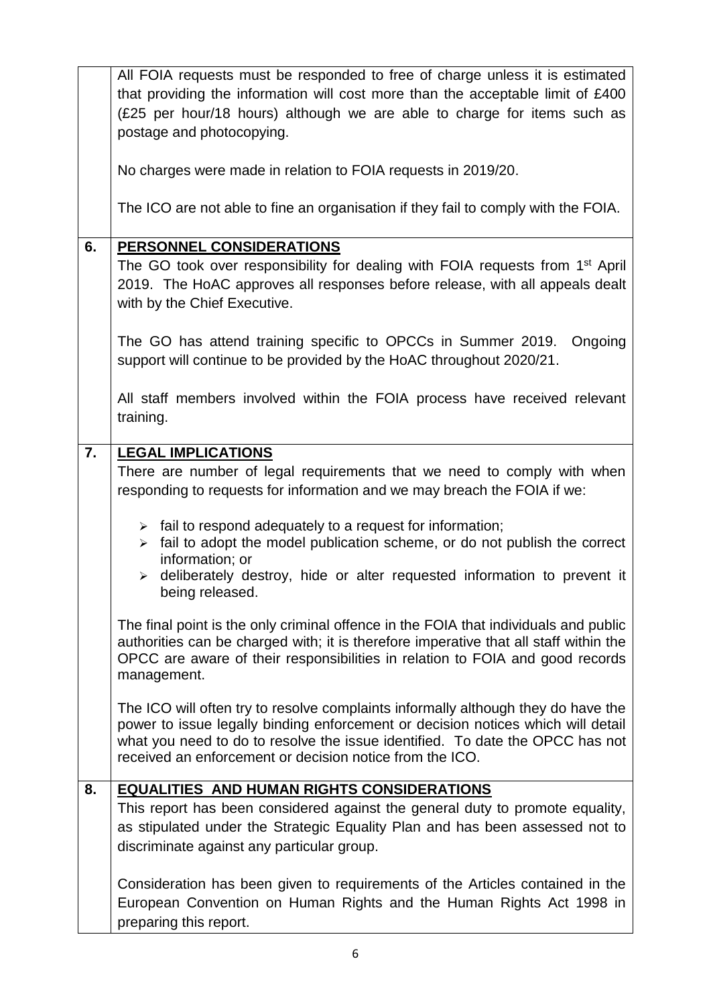|    | All FOIA requests must be responded to free of charge unless it is estimated                                                                                                                                                                                                  |
|----|-------------------------------------------------------------------------------------------------------------------------------------------------------------------------------------------------------------------------------------------------------------------------------|
|    | that providing the information will cost more than the acceptable limit of £400                                                                                                                                                                                               |
|    | (£25 per hour/18 hours) although we are able to charge for items such as                                                                                                                                                                                                      |
|    | postage and photocopying.                                                                                                                                                                                                                                                     |
|    | No charges were made in relation to FOIA requests in 2019/20.                                                                                                                                                                                                                 |
|    | The ICO are not able to fine an organisation if they fail to comply with the FOIA.                                                                                                                                                                                            |
| 6. | PERSONNEL CONSIDERATIONS                                                                                                                                                                                                                                                      |
|    | The GO took over responsibility for dealing with FOIA requests from 1 <sup>st</sup> April<br>2019. The HoAC approves all responses before release, with all appeals dealt<br>with by the Chief Executive.                                                                     |
|    | The GO has attend training specific to OPCCs in Summer 2019.<br>Ongoing<br>support will continue to be provided by the HoAC throughout 2020/21.                                                                                                                               |
|    | All staff members involved within the FOIA process have received relevant<br>training.                                                                                                                                                                                        |
| 7. | <b>LEGAL IMPLICATIONS</b>                                                                                                                                                                                                                                                     |
|    | There are number of legal requirements that we need to comply with when                                                                                                                                                                                                       |
|    | responding to requests for information and we may breach the FOIA if we:                                                                                                                                                                                                      |
|    | $\triangleright$ fail to respond adequately to a request for information;<br>fail to adopt the model publication scheme, or do not publish the correct<br>$\blacktriangleright$<br>information; or                                                                            |
|    | deliberately destroy, hide or alter requested information to prevent it<br>$\blacktriangleright$<br>being released.                                                                                                                                                           |
|    | The final point is the only criminal offence in the FOIA that individuals and public<br>authorities can be charged with; it is therefore imperative that all staff within the<br>OPCC are aware of their responsibilities in relation to FOIA and good records<br>management. |
|    | The ICO will often try to resolve complaints informally although they do have the                                                                                                                                                                                             |
|    | power to issue legally binding enforcement or decision notices which will detail<br>what you need to do to resolve the issue identified. To date the OPCC has not<br>received an enforcement or decision notice from the ICO.                                                 |
| 8. | <b>EQUALITIES AND HUMAN RIGHTS CONSIDERATIONS</b>                                                                                                                                                                                                                             |
|    | This report has been considered against the general duty to promote equality,                                                                                                                                                                                                 |
|    | as stipulated under the Strategic Equality Plan and has been assessed not to<br>discriminate against any particular group.                                                                                                                                                    |
|    | Consideration has been given to requirements of the Articles contained in the                                                                                                                                                                                                 |
|    | European Convention on Human Rights and the Human Rights Act 1998 in<br>preparing this report.                                                                                                                                                                                |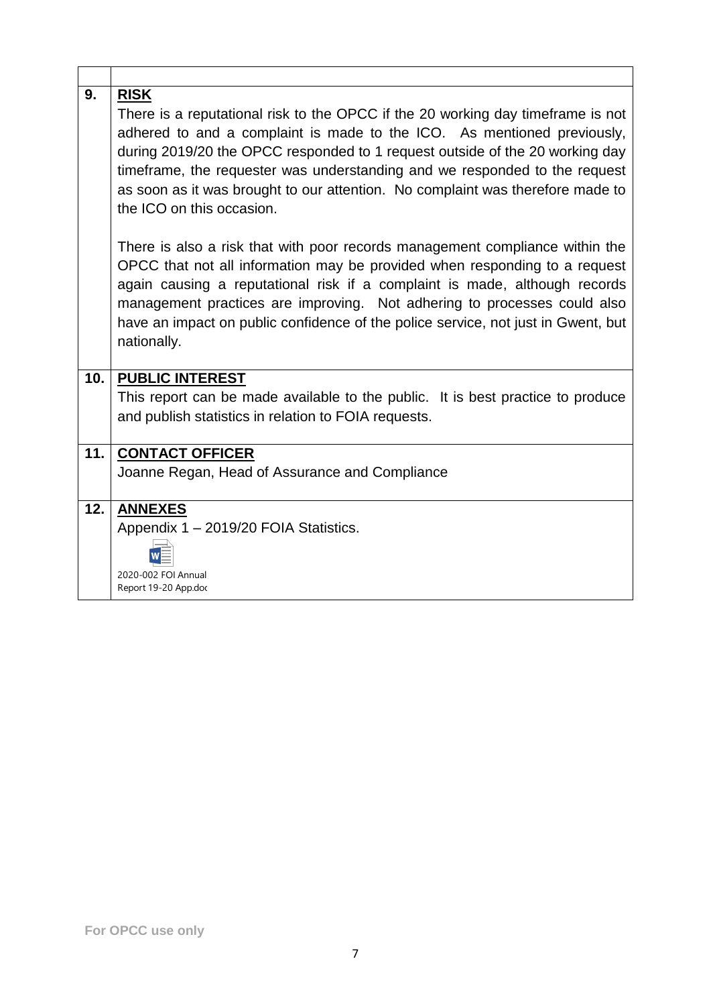| 9.   | <b>RISK</b><br>There is a reputational risk to the OPCC if the 20 working day timeframe is not<br>adhered to and a complaint is made to the ICO. As mentioned previously,<br>during 2019/20 the OPCC responded to 1 request outside of the 20 working day<br>timeframe, the requester was understanding and we responded to the request<br>as soon as it was brought to our attention. No complaint was therefore made to<br>the ICO on this occasion. |
|------|--------------------------------------------------------------------------------------------------------------------------------------------------------------------------------------------------------------------------------------------------------------------------------------------------------------------------------------------------------------------------------------------------------------------------------------------------------|
|      | There is also a risk that with poor records management compliance within the<br>OPCC that not all information may be provided when responding to a request<br>again causing a reputational risk if a complaint is made, although records<br>management practices are improving. Not adhering to processes could also<br>have an impact on public confidence of the police service, not just in Gwent, but<br>nationally.                               |
| 10.1 | <b>PUBLIC INTEREST</b>                                                                                                                                                                                                                                                                                                                                                                                                                                 |
|      | This report can be made available to the public. It is best practice to produce<br>and publish statistics in relation to FOIA requests.                                                                                                                                                                                                                                                                                                                |
| 11.  | <b>CONTACT OFFICER</b>                                                                                                                                                                                                                                                                                                                                                                                                                                 |
|      | Joanne Regan, Head of Assurance and Compliance                                                                                                                                                                                                                                                                                                                                                                                                         |
| 12.  | <b>ANNEXES</b><br>Appendix 1 - 2019/20 FOIA Statistics.<br>2020-002 FOI Annual<br>Report 19-20 App.doc                                                                                                                                                                                                                                                                                                                                                 |